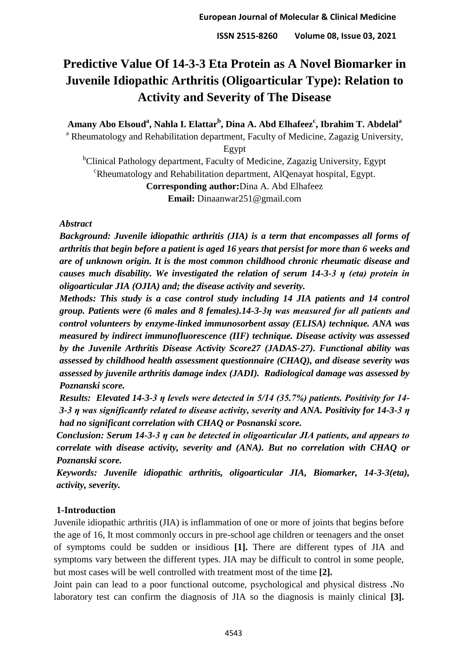# **Predictive Value Of 14-3-3 Eta Protein as A Novel Biomarker in Juvenile Idiopathic Arthritis (Oligoarticular Type): Relation to Activity and Severity of The Disease**

**Amany Abo Elsoud<sup>a</sup> , Nahla I. Elattar<sup>b</sup> , Dina A. Abd Elhafeez<sup>c</sup> , Ibrahim T. Abdelal<sup>a</sup>**

<sup>a</sup> Rheumatology and Rehabilitation department, Faculty of Medicine, Zagazig University,

Egypt

<sup>b</sup>Clinical Pathology department, Faculty of Medicine, Zagazig University, Egypt <sup>c</sup>Rheumatology and Rehabilitation department, AlQenayat hospital, Egypt. **Corresponding author:**Dina A. Abd Elhafeez

**Email:** Dinaanwar251@gmail.com

## *Abstract*

*Background: Juvenile idiopathic arthritis (JIA) is a term that encompasses all forms of arthritis that begin before a patient is aged 16 years that persist for more than 6 weeks and are of unknown origin. It is the most common childhood chronic rheumatic disease and causes much disability. We investigated the relation of serum 14-3-3 η (eta) protein in oligoarticular JIA (OJIA) and; the disease activity and severity.*

*Methods: This study is a case control study including 14 JIA patients and 14 control group. Patients were (6 males and 8 females).14-3-3η was measured for all patients and control volunteers by enzyme-linked immunosorbent assay (ELISA) technique. ANA was measured by indirect immunofluorescence (IIF) technique. Disease activity was assessed by the Juvenile Arthritis Disease Activity Score27 (JADAS-27). Functional ability was assessed by childhood health assessment questionnaire (CHAQ), and disease severity was assessed by juvenile arthritis damage index (JADI). Radiological damage was assessed by Poznanski score.* 

*Results: Elevated 14-3-3 η levels were detected in 5/14 (35.7%) patients. Positivity for 14- 3-3 η was significantly related to disease activity, severity and ANA. Positivity for 14-3-3 η had no significant correlation with CHAQ or Posnanski score.*

*Conclusion: Serum 14-3-3 η can be detected in oligoarticular JIA patients, and appears to correlate with disease activity, severity and (ANA). But no correlation with CHAQ or Poznanski score.* 

*Keywords: Juvenile idiopathic arthritis, oligoarticular JIA, Biomarker, 14-3-3(eta), activity, severity.*

# **1-Introduction**

Juvenile idiopathic arthritis (JIA) is inflammation of one or more of joints that begins before the age of 16, It most commonly occurs in pre-school age children or teenagers and the onset of symptoms could be sudden or insidious **[1].** There are different types of JIA and symptoms vary between the different types. JIA may be difficult to control in some people, but most cases will be well controlled with treatment most of the time **[2].**

Joint pain can lead to a poor functional outcome, psychological and physical distress **.**No laboratory test can confirm the diagnosis of JIA so the diagnosis is mainly clinical **[3].**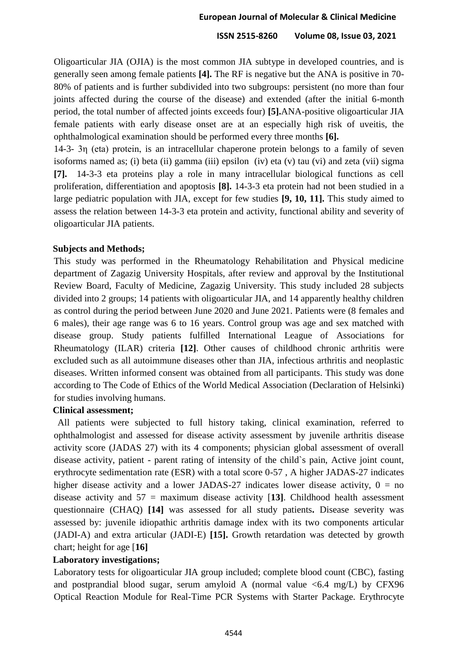Oligoarticular JIA (OJIA) is the most common JIA subtype in developed countries, and is generally seen among female patients **[4].** The RF is negative but the ANA is positive in 70- 80% of patients and is further subdivided into two subgroups: persistent (no more than four joints affected during the course of the disease) and extended (after the initial 6-month period, the total number of affected joints exceeds four) **[5].**ANA-positive oligoarticular JIA female patients with early disease onset are at an especially high risk of uveitis, the ophthalmological examination should be performed every three months **[6].**

14-3- 3η (eta) protein, is an intracellular chaperone protein belongs to a family of seven isoforms named as; (i) beta (ii) gamma (iii) epsilon (iv) eta (v) tau (vi) and zeta (vii) sigma **[7].** 14-3-3 eta proteins play a role in many intracellular biological functions as cell proliferation, differentiation and apoptosis **[8].** 14-3-3 eta protein had not been studied in a large pediatric population with JIA, except for few studies **[9, 10, 11].** This study aimed to assess the relation between 14-3-3 eta protein and activity, functional ability and severity of oligoarticular JIA patients.

## **Subjects and Methods;**

This study was performed in the Rheumatology Rehabilitation and Physical medicine department of Zagazig University Hospitals, after review and approval by the Institutional Review Board, Faculty of Medicine, Zagazig University. This study included 28 subjects divided into 2 groups; 14 patients with oligoarticular JIA, and 14 apparently healthy children as control during the period between June 2020 and June 2021. Patients were (8 females and 6 males), their age range was 6 to 16 years. Control group was age and sex matched with disease group. Study patients fulfilled International League of Associations for Rheumatology (ILAR) criteria **[12]**. Other causes of childhood chronic arthritis were excluded such as all autoimmune diseases other than JIA, infectious arthritis and neoplastic diseases. Written informed consent was obtained from all participants. This study was done according to The Code of Ethics of the World Medical Association (Declaration of Helsinki) for studies involving humans.

#### **Clinical assessment;**

 All patients were subjected to full history taking, clinical examination, referred to ophthalmologist and assessed for disease activity assessment by juvenile arthritis disease activity score (JADAS 27) with its 4 components; physician global assessment of overall disease activity, patient - parent rating of intensity of the child`s pain, Active joint count, erythrocyte sedimentation rate (ESR) with a total score 0-57 , A higher JADAS-27 indicates higher disease activity and a lower JADAS-27 indicates lower disease activity,  $0 = no$ disease activity and 57 = maximum disease activity [**13]**. Childhood health assessment questionnaire (CHAQ) **[14]** was assessed for all study patients**.** Disease severity was assessed by: juvenile idiopathic arthritis damage index with its two components articular (JADI-A) and extra articular (JADI-E) **[15].** Growth retardation was detected by growth chart; height for age [**16]**

## **Laboratory investigations;**

Laboratory tests for oligoarticular JIA group included; complete blood count (CBC), fasting and postprandial blood sugar, serum amyloid A (normal value  $\leq 6.4$  mg/L) by CFX96 Optical Reaction Module for Real-Time PCR Systems with Starter Package. Erythrocyte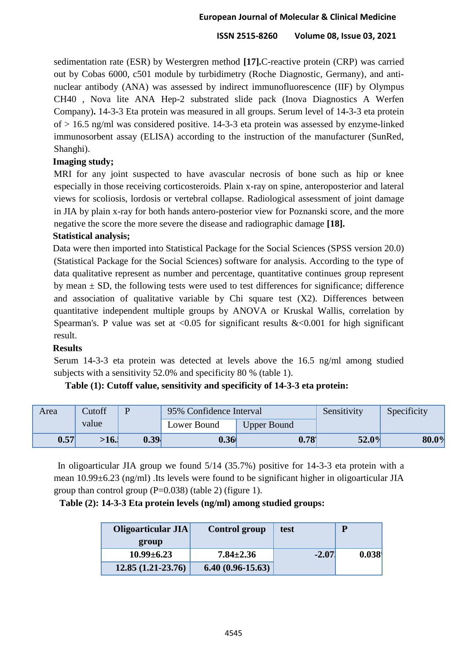sedimentation rate (ESR) by Westergren method **[17].**C-reactive protein (CRP) was carried out by Cobas 6000, c501 module by turbidimetry (Roche Diagnostic, Germany), and antinuclear antibody (ANA) was assessed by indirect immunofluorescence (IIF) by Olympus CH40 , Nova lite ANA Hep-2 substrated slide pack (Inova Diagnostics A Werfen Company)**.** 14-3-3 Eta protein was measured in all groups. Serum level of 14-3-3 eta protein of > 16.5 ng/ml was considered positive. 14-3-3 eta protein was assessed by enzyme-linked immunosorbent assay (ELISA) according to the instruction of the manufacturer (SunRed, Shanghi).

# **Imaging study;**

MRI for any joint suspected to have avascular necrosis of bone such as hip or knee especially in those receiving corticosteroids. Plain x-ray on spine, anteroposterior and lateral views for scoliosis, lordosis or vertebral collapse. Radiological assessment of joint damage in JIA by plain x-ray for both hands antero-posterior view for Poznanski score, and the more negative the score the more severe the disease and radiographic damage **[18].**

# **Statistical analysis;**

Data were then imported into Statistical Package for the Social Sciences (SPSS version 20.0) (Statistical Package for the Social Sciences) software for analysis. According to the type of data qualitative represent as number and percentage, quantitative continues group represent by mean  $\pm$  SD, the following tests were used to test differences for significance; difference and association of qualitative variable by Chi square test (X2). Differences between quantitative independent multiple groups by ANOVA or Kruskal Wallis, correlation by Spearman's. P value was set at  $\langle 0.05 \rangle$  for significant results & $\langle 0.001 \rangle$  for high significant result.

## **Results**

Serum 14-3-3 eta protein was detected at levels above the 16.5 ng/ml among studied subjects with a sensitivity 52.0% and specificity 80 % (table 1).

| Area              | Cutoff |                   | 95% Confidence Interval           |                   | Sensitivity | Specificity |
|-------------------|--------|-------------------|-----------------------------------|-------------------|-------------|-------------|
|                   | value  |                   | Lower Bound<br><b>Upper Bound</b> |                   |             |             |
| 0.57 <sup>′</sup> | >16.   | 0.39 <sup>l</sup> | 0.36                              | 0.78 <sup>1</sup> | 52.0%       | 80.0%       |

## **Table (1): Cutoff value, sensitivity and specificity of 14-3-3 eta protein:**

 In oligoarticular JIA group we found 5/14 (35.7%) positive for 14-3-3 eta protein with a mean 10.99±6.23 (ng/ml) .Its levels were found to be significant higher in oligoarticular JIA group than control group  $(P=0.038)$  (table 2) (figure 1).

# **Table (2): 14-3-3 Eta protein levels (ng/ml) among studied groups:**

| Oligoarticular JIA  | <b>Control group</b> | test    | P     |
|---------------------|----------------------|---------|-------|
| group               |                      |         |       |
| $10.99 \pm 6.23$    | $7.84 \pm 2.36$      | $-2.07$ | 0.038 |
| $12.85(1.21-23.76)$ | $6.40(0.96-15.63)$   |         |       |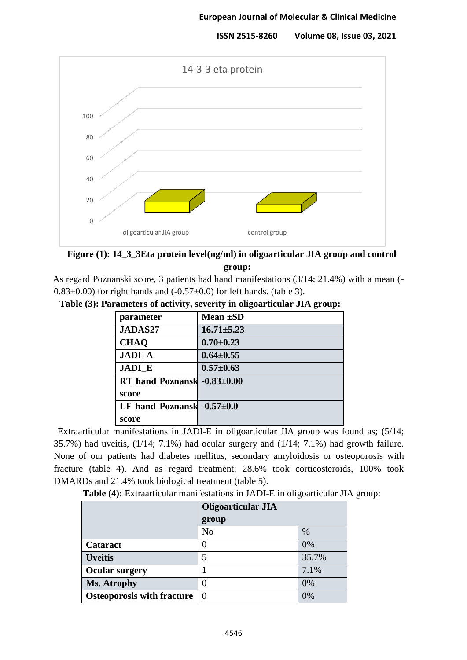

# **Figure (1): 14\_3\_3Eta protein level(ng/ml) in oligoarticular JIA group and control group:**

As regard Poznanski score, 3 patients had hand manifestations (3/14; 21.4%) with a mean (-  $0.83\pm0.00$ ) for right hands and  $(-0.57\pm0.0)$  for left hands. (table 3).

|  | Table (3): Parameters of activity, severity in oligoarticular JIA group: |  |  |  |  |
|--|--------------------------------------------------------------------------|--|--|--|--|
|  |                                                                          |  |  |  |  |

| parameter                       | Mean $\pm SD$    |
|---------------------------------|------------------|
| <b>JADAS27</b>                  | $16.71 \pm 5.23$ |
| <b>CHAQ</b>                     | $0.70 \pm 0.23$  |
| <b>JADI A</b>                   | $0.64 \pm 0.55$  |
| <b>JADI E</b>                   | $0.57 \pm 0.63$  |
| RT hand Poznansk $-0.83\pm0.00$ |                  |
| score                           |                  |
| LF hand Poznansk $-0.57\pm0.0$  |                  |
| score                           |                  |

 Extraarticular manifestations in JADI-E in oligoarticular JIA group was found as; (5/14; 35.7%) had uveitis, (1/14; 7.1%) had ocular surgery and (1/14; 7.1%) had growth failure. None of our patients had diabetes mellitus, secondary amyloidosis or osteoporosis with fracture (table 4). And as regard treatment; 28.6% took corticosteroids, 100% took DMARDs and 21.4% took biological treatment (table 5).

**Table (4):** Extraarticular manifestations in JADI-E in oligoarticular JIA group:

|                                   | <b>Oligoarticular JIA</b> |       |
|-----------------------------------|---------------------------|-------|
|                                   | group                     |       |
|                                   | N <sub>o</sub>            | $\%$  |
| Cataract                          | 0                         | 0%    |
| <b>Uveitis</b>                    | 5                         | 35.7% |
| <b>Ocular surgery</b>             |                           | 7.1%  |
| Ms. Atrophy                       | $\left( \right)$          | 0%    |
| <b>Osteoporosis with fracture</b> | $\theta$                  | 0%    |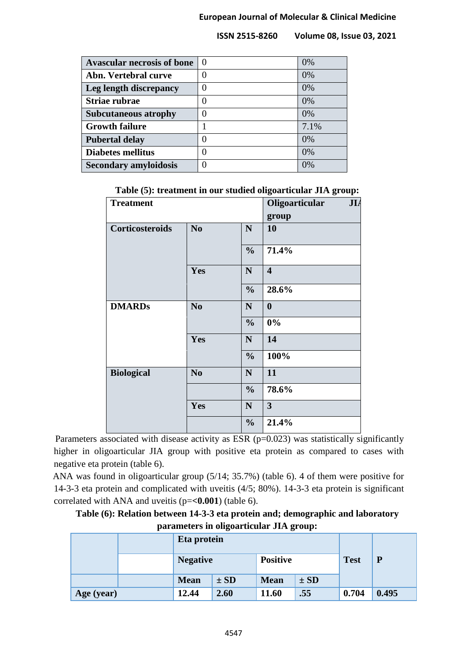| <b>Avascular necrosis of bone</b> | $\theta$ | 0%   |
|-----------------------------------|----------|------|
| Abn. Vertebral curve              |          | 0%   |
| Leg length discrepancy            |          | 0%   |
| Striae rubrae                     | 0        | 0%   |
| <b>Subcutaneous atrophy</b>       | 0        | 0%   |
| <b>Growth failure</b>             |          | 7.1% |
| <b>Pubertal delay</b>             | 0        | 0%   |
| <b>Diabetes mellitus</b>          | 0        | 0%   |
| <b>Secondary amyloidosis</b>      |          | 0%   |

| <b>Treatment</b>  |                |               | Oligoarticular          | JL |
|-------------------|----------------|---------------|-------------------------|----|
|                   |                |               |                         |    |
|                   |                |               | group                   |    |
| Corticosteroids   | N <sub>0</sub> | $\mathbf N$   | 10                      |    |
|                   |                | $\frac{0}{0}$ | 71.4%                   |    |
|                   | Yes            | $\mathbf N$   | $\overline{\mathbf{4}}$ |    |
|                   |                | $\frac{0}{0}$ | 28.6%                   |    |
| <b>DMARDs</b>     | N <sub>o</sub> | ${\bf N}$     | $\boldsymbol{0}$        |    |
|                   |                | $\frac{0}{0}$ | 0%                      |    |
|                   | Yes            | $\mathbf N$   | 14                      |    |
|                   |                | $\frac{0}{0}$ | 100%                    |    |
| <b>Biological</b> | N <sub>0</sub> | $\mathbf N$   | 11                      |    |
|                   |                | $\frac{0}{0}$ | 78.6%                   |    |
|                   | Yes            | ${\bf N}$     | $\overline{3}$          |    |
|                   |                | $\frac{0}{0}$ | 21.4%                   |    |

**Table (5): treatment in our studied oligoarticular JIA group:**

Parameters associated with disease activity as ESR  $(p=0.023)$  was statistically significantly higher in oligoarticular JIA group with positive eta protein as compared to cases with negative eta protein (table 6).

ANA was found in oligoarticular group (5/14; 35.7%) (table 6). 4 of them were positive for 14-3-3 eta protein and complicated with uveitis (4/5; 80%). 14-3-3 eta protein is significant correlated with ANA and uveitis (p=**<0.001**) (table 6).

| Table (6): Relation between 14-3-3 eta protein and; demographic and laboratory |  |
|--------------------------------------------------------------------------------|--|
| parameters in oligoarticular JIA group:                                        |  |

|            |  | Eta protein     |          | <b>Test</b> | P        |                 |       |
|------------|--|-----------------|----------|-------------|----------|-----------------|-------|
|            |  | <b>Negative</b> |          |             |          | <b>Positive</b> |       |
|            |  | <b>Mean</b>     | $\pm SD$ | <b>Mean</b> | $\pm SD$ |                 |       |
| Age (year) |  | 12.44           | 2.60     | 11.60       | .55      | 0.704           | 0.495 |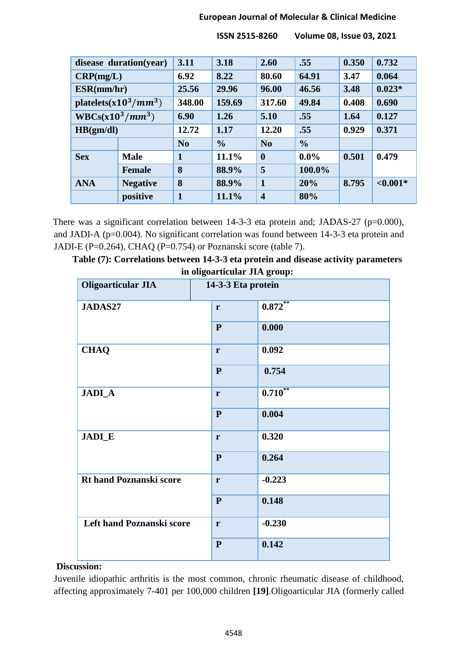## **European Journal of Molecular & Clinical Medicine**

|                    | disease duration(year)   | 3.11           | 3.18          | 2.60                    | .55           | 0.350 | 0.732       |
|--------------------|--------------------------|----------------|---------------|-------------------------|---------------|-------|-------------|
| CRP(mg/L)          |                          | 6.92           | 8.22          | 80.60                   | 64.91         | 3.47  | 0.064       |
| ESR(mm/hr)         |                          | 25.56          | 29.96         | 96.00                   | 46.56         | 3.48  | $0.023*$    |
|                    | platelets $(x10^3/mm^3)$ | 348.00         | 159.69        | 317.60                  | 49.84         | 0.408 | 0.690       |
| $WBCs(x10^3/mm^3)$ |                          | 6.90           | 1.26          | 5.10                    | .55           | 1.64  | 0.127       |
| HB(gm/dl)          |                          | 12.72          | 1.17          | 12.20                   | .55           | 0.929 | 0.371       |
|                    |                          | N <sub>0</sub> | $\frac{0}{0}$ | N <sub>0</sub>          | $\frac{0}{0}$ |       |             |
| <b>Sex</b>         | <b>Male</b>              | 1              | 11.1%         | $\boldsymbol{0}$        | $0.0\%$       | 0.501 | 0.479       |
| <b>Female</b>      |                          | 8              | 88.9%         | 5                       | 100.0%        |       |             |
| <b>ANA</b>         | <b>Negative</b>          | 8              | 88.9%         | $\mathbf{1}$            | 20%           | 8.795 | ${<}0.001*$ |
|                    | positive                 | 1              | 11.1%         | $\overline{\mathbf{4}}$ | 80%           |       |             |

 **ISSN 2515-8260 Volume 08, Issue 03, 2021**

There was a significant correlation between 14-3-3 eta protein and; JADAS-27 (p=0.000), and JADI-A (p=0.004). No significant correlation was found between 14-3-3 eta protein and JADI-E (P=0.264), CHAQ (P=0.754) or Poznanski score (table 7).

| Table (7): Correlations between 14-3-3 eta protein and disease activity parameters |
|------------------------------------------------------------------------------------|
| in oligoarticular JIA group:                                                       |

| <b>Oligoarticular JIA</b>        | 14-3-3 Eta protein |            |
|----------------------------------|--------------------|------------|
| JADAS27                          | $\mathbf{r}$       | $0.872***$ |
|                                  | ${\bf P}$          | 0.000      |
| <b>CHAQ</b>                      | $\mathbf{r}$       | 0.092      |
|                                  | ${\bf P}$          | 0.754      |
| <b>JADI_A</b>                    | $\mathbf{r}$       | $0.710***$ |
|                                  | ${\bf P}$          | 0.004      |
| <b>JADI_E</b>                    | r                  | 0.320      |
|                                  | ${\bf P}$          | 0.264      |
| <b>Rt hand Poznanski score</b>   | $\mathbf{r}$       | $-0.223$   |
|                                  | ${\bf P}$          | 0.148      |
| <b>Left hand Poznanski score</b> | r                  | $-0.230$   |
|                                  | ${\bf P}$          | 0.142      |

#### **Discussion:**

Juvenile idiopathic arthritis is the most common, chronic rheumatic disease of childhood, affecting approximately 7-401 per 100,000 children **[19]**.Oligoarticular JIA (formerly called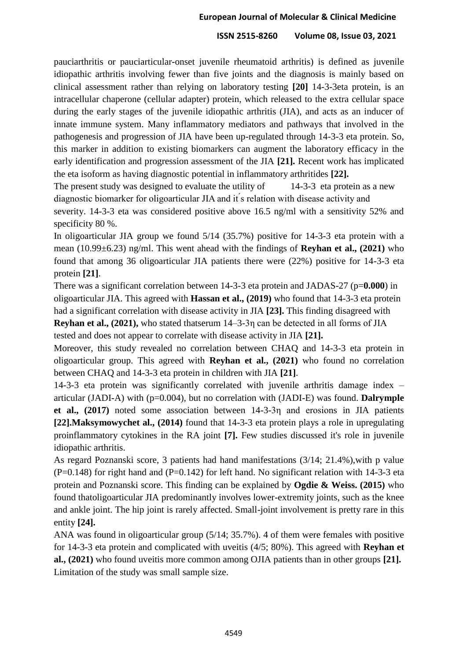pauciarthritis or pauciarticular-onset juvenile rheumatoid arthritis) is defined as juvenile idiopathic arthritis involving fewer than five joints and the diagnosis is mainly based on clinical assessment rather than relying on laboratory testing **[20]** 14-3-3eta protein, is an intracellular chaperone (cellular adapter) protein, which released to the extra cellular space during the early stages of the juvenile idiopathic arthritis (JIA), and acts as an inducer of innate immune system. Many inflammatory mediators and pathways that involved in the pathogenesis and progression of JIA have been up-regulated through 14-3-3 eta protein. So, this marker in addition to existing biomarkers can augment the laboratory efficacy in the early identification and progression assessment of the JIA **[21].** Recent work has implicated the eta isoform as having diagnostic potential in inflammatory arthritides **[22].**

The present study was designed to evaluate the utility of 14-3-3 eta protein as a new diagnostic biomarker for oligoarticular JIA and it ́s relation with disease activity and

severity. 14-3-3 eta was considered positive above 16.5 ng/ml with a sensitivity 52% and specificity 80 %.

In oligoarticular JIA group we found 5/14 (35.7%) positive for 14-3-3 eta protein with a mean (10.99±6.23) ng/ml. This went ahead with the findings of **Reyhan et al., (2021)** who found that among 36 oligoarticular JIA patients there were (22%) positive for 14-3-3 eta protein **[21]**.

There was a significant correlation between 14-3-3 eta protein and JADAS-27 (p=**0.000**) in oligoarticular JIA. This agreed with **Hassan et al., (2019)** who found that 14-3-3 eta protein had a significant correlation with disease activity in JIA **[23].** This finding disagreed with

**Reyhan et al., (2021),** who stated thatserum 14–3-3η can be detected in all forms of JIA tested and does not appear to correlate with disease activity in JIA **[21].** 

Moreover, this study revealed no correlation between CHAQ and 14-3-3 eta protein in oligoarticular group. This agreed with **Reyhan et al., (2021)** who found no correlation between CHAQ and 14-3-3 eta protein in children with JIA **[21]**.

14-3-3 eta protein was significantly correlated with juvenile arthritis damage index – articular (JADI-A) with (p=0.004), but no correlation with (JADI-E) was found. **Dalrymple et al., (2017)** noted some association between 14-3-3η and erosions in JIA patients **[22].Maksymowychet al., (2014)** found that 14-3-3 eta protein plays a role in upregulating proinflammatory cytokines in the RA joint **[7].** Few studies discussed it's role in juvenile idiopathic arthritis.

As regard Poznanski score, 3 patients had hand manifestations (3/14; 21.4%),with p value  $(P=0.148)$  for right hand and  $(P=0.142)$  for left hand. No significant relation with 14-3-3 eta protein and Poznanski score. This finding can be explained by **Ogdie & Weiss. (2015)** who found thatoligoarticular JIA predominantly involves lower-extremity joints, such as the knee and ankle joint. The hip joint is rarely affected. Small-joint involvement is pretty rare in this entity **[24].**

ANA was found in oligoarticular group (5/14; 35.7%). 4 of them were females with positive for 14-3-3 eta protein and complicated with uveitis (4/5; 80%). This agreed with **Reyhan et al., (2021)** who found uveitis more common among OJIA patients than in other groups **[21].** Limitation of the study was small sample size.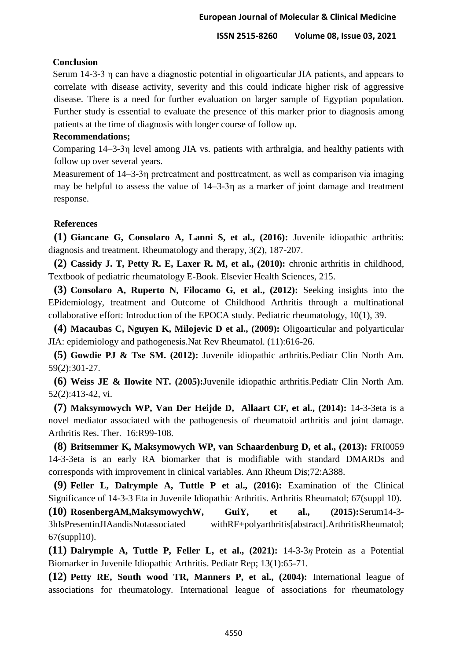#### **Conclusion**

Serum 14-3-3 η can have a diagnostic potential in oligoarticular JIA patients, and appears to correlate with disease activity, severity and this could indicate higher risk of aggressive disease. There is a need for further evaluation on larger sample of Egyptian population. Further study is essential to evaluate the presence of this marker prior to diagnosis among patients at the time of diagnosis with longer course of follow up.

#### **Recommendations;**

Comparing 14–3-3η level among JIA vs. patients with arthralgia, and healthy patients with follow up over several years.

Measurement of 14–3-3η pretreatment and posttreatment, as well as comparison via imaging may be helpful to assess the value of 14–3-3n as a marker of joint damage and treatment response.

#### **References**

**(1) Giancane G, Consolaro A, Lanni S, et al., (2016):** Juvenile idiopathic arthritis: diagnosis and treatment. Rheumatology and therapy, 3(2), 187-207.

**(2) Cassidy J. T, Petty R. E, Laxer R. M, et al., (2010):** chronic arthritis in childhood, Textbook of pediatric rheumatology E-Book. Elsevier Health Sciences, 215.

**(3) Consolaro A, Ruperto N, Filocamo G, et al., (2012):** Seeking insights into the EPidemiology, treatment and Outcome of Childhood Arthritis through a multinational collaborative effort: Introduction of the EPOCA study. Pediatric rheumatology, 10(1), 39.

**(4) Macaubas C, Nguyen K, Milojevic D et al., (2009):** Oligoarticular and polyarticular JIA: epidemiology and pathogenesis.Nat Rev Rheumatol. (11):616-26.

**(5) Gowdie PJ & Tse SM. (2012):** Juvenile idiopathic arthritis.Pediatr Clin North Am. 59(2):301-27.

**(6) Weiss JE & Ilowite NT. (2005):**Juvenile idiopathic arthritis.Pediatr Clin North Am. 52(2):413-42, vi.

**(7) Maksymowych WP, Van Der Heijde D, Allaart CF, et al., (2014):** 14-3-3eta is a novel mediator associated with the pathogenesis of rheumatoid arthritis and joint damage. Arthritis Res. Ther. 16:R99-108.

**(8) Britsemmer K, Maksymowych WP, van Schaardenburg D, et al., (2013):** FRI0059 14-3-3eta is an early RA biomarker that is modifiable with standard DMARDs and corresponds with improvement in clinical variables. Ann Rheum Dis;72:A388.

**(9) Feller L, Dalrymple A, Tuttle P et al., (2016):** Examination of the Clinical Significance of 14-3-3 Eta in Juvenile Idiopathic Arthritis. Arthritis Rheumatol; 67(suppl 10).

**(10) RosenbergAM,MaksymowychW, GuiY, et al., (2015):**Serum14-3- 3hIsPresentinJIAandisNotassociated withRF+polyarthritis[abstract].ArthritisRheumatol; 67(suppl10).

**(11) Dalrymple A, Tuttle P, Feller L, et al., (2021):** 14-3-3*η* Protein as a Potential Biomarker in Juvenile Idiopathic Arthritis. Pediatr Rep; 13(1):65-71.

**(12) Petty RE, South wood TR, Manners P, et al., (2004):** International league of associations for rheumatology. International league of associations for rheumatology